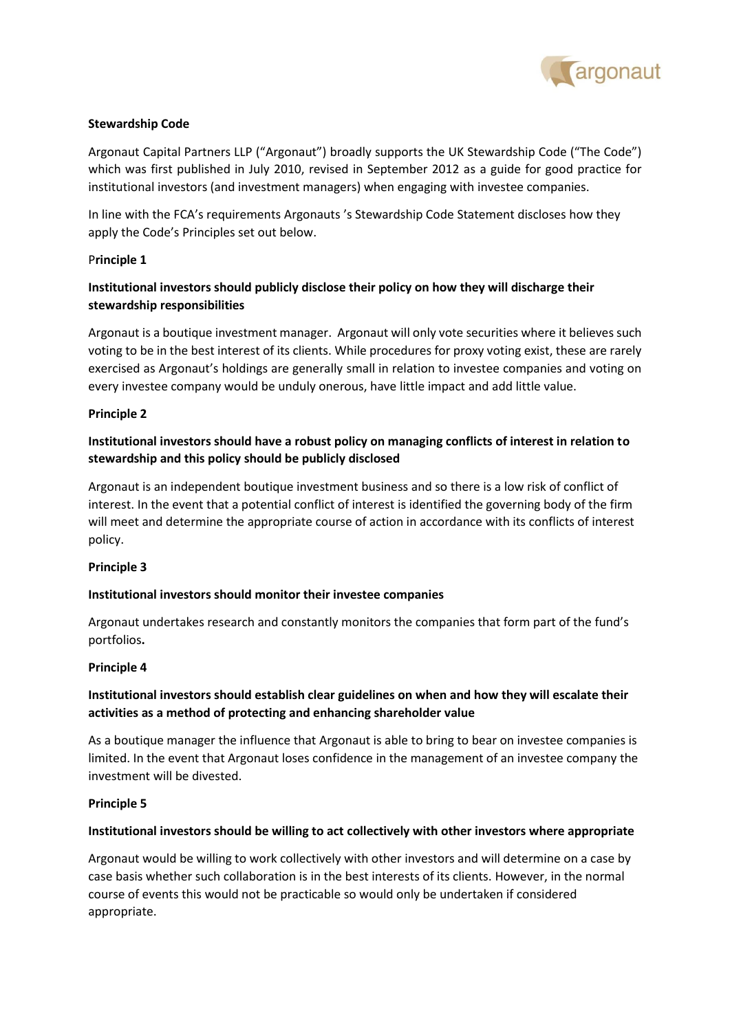

## **Stewardship Code**

Argonaut Capital Partners LLP ("Argonaut") broadly supports the UK Stewardship Code ("The Code") which was first published in July 2010, revised in September 2012 as a guide for good practice for institutional investors (and investment managers) when engaging with investee companies.

In line with the FCA's requirements Argonauts 's Stewardship Code Statement discloses how they apply the Code's Principles set out below.

### P**rinciple 1**

# **Institutional investors should publicly disclose their policy on how they will discharge their stewardship responsibilities**

Argonaut is a boutique investment manager. Argonaut will only vote securities where it believes such voting to be in the best interest of its clients. While procedures for proxy voting exist, these are rarely exercised as Argonaut's holdings are generally small in relation to investee companies and voting on every investee company would be unduly onerous, have little impact and add little value.

### **Principle 2**

# **Institutional investors should have a robust policy on managing conflicts of interest in relation to stewardship and this policy should be publicly disclosed**

Argonaut is an independent boutique investment business and so there is a low risk of conflict of interest. In the event that a potential conflict of interest is identified the governing body of the firm will meet and determine the appropriate course of action in accordance with its conflicts of interest policy.

### **Principle 3**

### **Institutional investors should monitor their investee companies**

Argonaut undertakes research and constantly monitors the companies that form part of the fund's portfolios**.**

#### **Principle 4**

# **Institutional investors should establish clear guidelines on when and how they will escalate their activities as a method of protecting and enhancing shareholder value**

As a boutique manager the influence that Argonaut is able to bring to bear on investee companies is limited. In the event that Argonaut loses confidence in the management of an investee company the investment will be divested.

#### **Principle 5**

#### **Institutional investors should be willing to act collectively with other investors where appropriate**

Argonaut would be willing to work collectively with other investors and will determine on a case by case basis whether such collaboration is in the best interests of its clients. However, in the normal course of events this would not be practicable so would only be undertaken if considered appropriate.